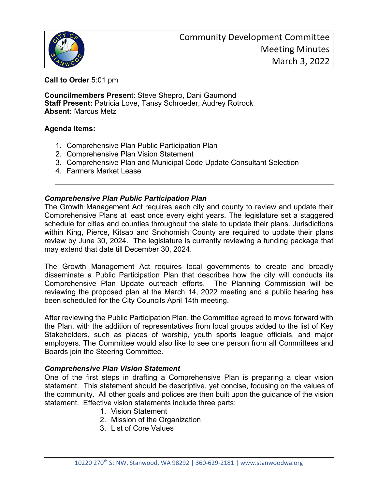

**Call to Order** 5:01 pm

**Councilmembers Presen**t: Steve Shepro, Dani Gaumond **Staff Present:** Patricia Love, Tansy Schroeder, Audrey Rotrock **Absent:** Marcus Metz

## **Agenda Items:**

- 1. Comprehensive Plan Public Participation Plan
- 2. Comprehensive Plan Vision Statement
- 3. Comprehensive Plan and Municipal Code Update Consultant Selection
- 4. Farmers Market Lease

## *Comprehensive Plan Public Participation Plan*

The Growth Management Act requires each city and county to review and update their Comprehensive Plans at least once every eight years. The legislature set a staggered schedule for cities and counties throughout the state to update their plans. Jurisdictions within King, Pierce, Kitsap and Snohomish County are required to update their plans review by June 30, 2024. The legislature is currently reviewing a funding package that may extend that date till December 30, 2024.

The Growth Management Act requires local governments to create and broadly disseminate a Public Participation Plan that describes how the city will conducts its Comprehensive Plan Update outreach efforts. The Planning Commission will be reviewing the proposed plan at the March 14, 2022 meeting and a public hearing has been scheduled for the City Councils April 14th meeting.

After reviewing the Public Participation Plan, the Committee agreed to move forward with the Plan, with the addition of representatives from local groups added to the list of Key Stakeholders, such as places of worship, youth sports league officials, and major employers. The Committee would also like to see one person from all Committees and Boards join the Steering Committee.

## *Comprehensive Plan Vision Statement*

One of the first steps in drafting a Comprehensive Plan is preparing a clear vision statement. This statement should be descriptive, yet concise, focusing on the values of the community. All other goals and polices are then built upon the guidance of the vision statement. Effective vision statements include three parts:

- 1. Vision Statement
- 2. Mission of the Organization
- 3. List of Core Values